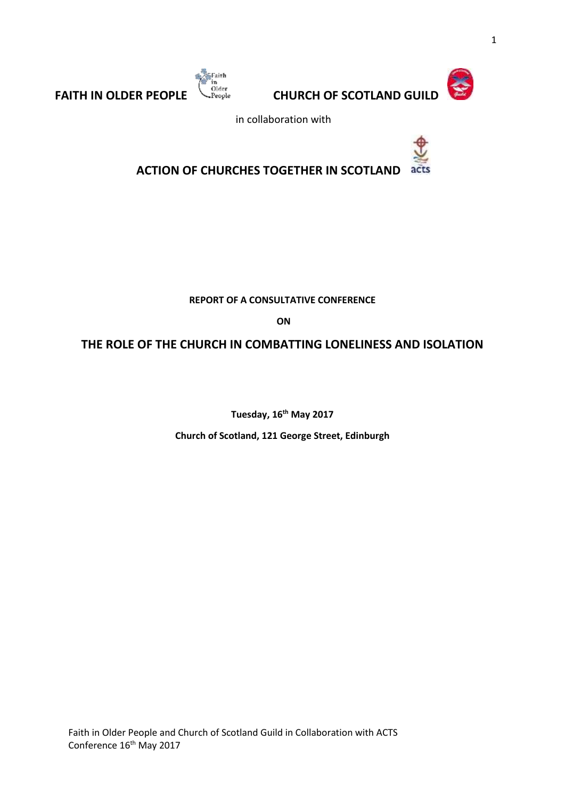



**FAITH IN OLDER PEOPLE CHURCH OF SCOTLAND GUILD** 

in collaboration with



**ACTION OF CHURCHES TOGETHER IN SCOTLAND**

**REPORT OF A CONSULTATIVE CONFERENCE**

**ON**

**THE ROLE OF THE CHURCH IN COMBATTING LONELINESS AND ISOLATION**

**Tuesday, 16th May 2017** 

**Church of Scotland, 121 George Street, Edinburgh**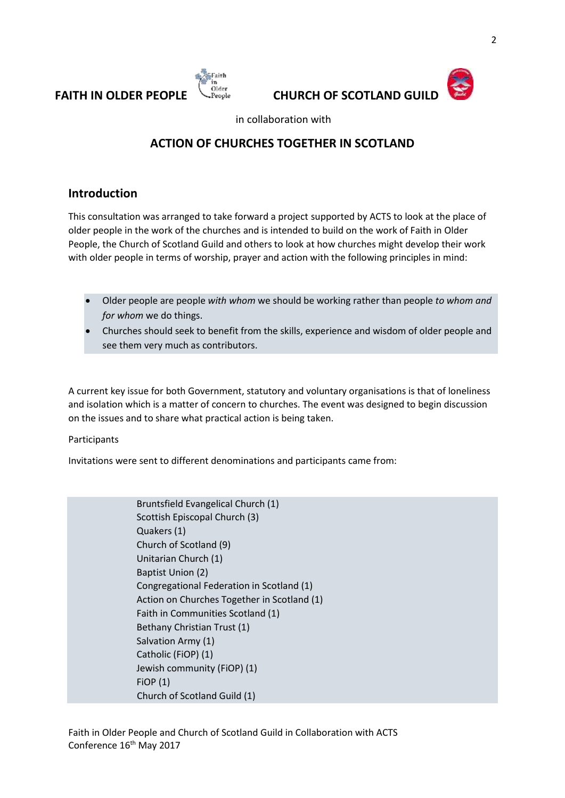





in collaboration with

# **ACTION OF CHURCHES TOGETHER IN SCOTLAND**

### **Introduction**

This consultation was arranged to take forward a project supported by ACTS to look at the place of older people in the work of the churches and is intended to build on the work of Faith in Older People, the Church of Scotland Guild and others to look at how churches might develop their work with older people in terms of worship, prayer and action with the following principles in mind:

- Older people are people *with whom* we should be working rather than people *to whom and for whom* we do things.
- Churches should seek to benefit from the skills, experience and wisdom of older people and see them very much as contributors.

A current key issue for both Government, statutory and voluntary organisations is that of loneliness and isolation which is a matter of concern to churches. The event was designed to begin discussion on the issues and to share what practical action is being taken.

#### Participants

Invitations were sent to different denominations and participants came from:

Bruntsfield Evangelical Church (1) Scottish Episcopal Church (3) Quakers (1) Church of Scotland (9) Unitarian Church (1) Baptist Union (2) Congregational Federation in Scotland (1) Action on Churches Together in Scotland (1) Faith in Communities Scotland (1) Bethany Christian Trust (1) Salvation Army (1) Catholic (FiOP) (1) Jewish community (FiOP) (1) FiOP (1) Church of Scotland Guild (1)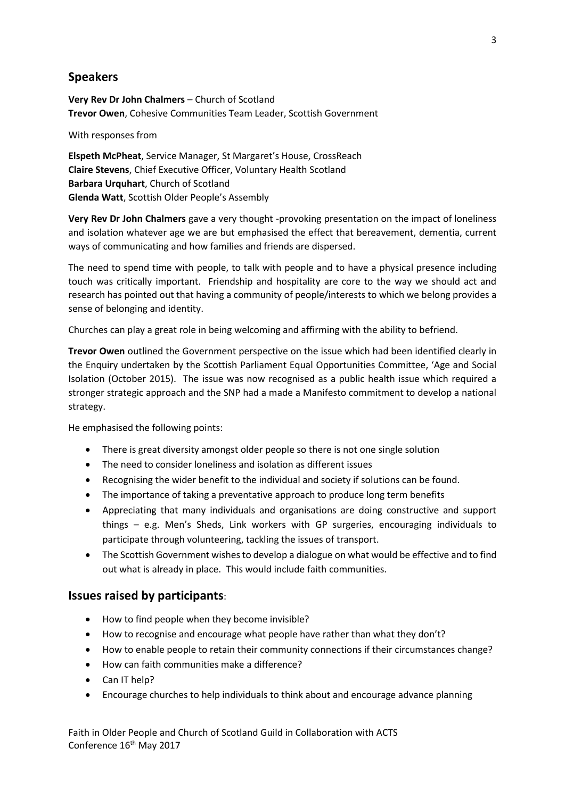### **Speakers**

**Very Rev Dr John Chalmers** – Church of Scotland **Trevor Owen**, Cohesive Communities Team Leader, Scottish Government

With responses from

**Elspeth McPheat**, Service Manager, St Margaret's House, CrossReach **Claire Stevens**, Chief Executive Officer, Voluntary Health Scotland **Barbara Urquhart**, Church of Scotland **Glenda Watt**, Scottish Older People's Assembly

**Very Rev Dr John Chalmers** gave a very thought -provoking presentation on the impact of loneliness and isolation whatever age we are but emphasised the effect that bereavement, dementia, current ways of communicating and how families and friends are dispersed.

The need to spend time with people, to talk with people and to have a physical presence including touch was critically important. Friendship and hospitality are core to the way we should act and research has pointed out that having a community of people/interests to which we belong provides a sense of belonging and identity.

Churches can play a great role in being welcoming and affirming with the ability to befriend.

**Trevor Owen** outlined the Government perspective on the issue which had been identified clearly in the Enquiry undertaken by the Scottish Parliament Equal Opportunities Committee, 'Age and Social Isolation (October 2015). The issue was now recognised as a public health issue which required a stronger strategic approach and the SNP had a made a Manifesto commitment to develop a national strategy.

He emphasised the following points:

- There is great diversity amongst older people so there is not one single solution
- The need to consider loneliness and isolation as different issues
- Recognising the wider benefit to the individual and society if solutions can be found.
- The importance of taking a preventative approach to produce long term benefits
- Appreciating that many individuals and organisations are doing constructive and support things – e.g. Men's Sheds, Link workers with GP surgeries, encouraging individuals to participate through volunteering, tackling the issues of transport.
- The Scottish Government wishes to develop a dialogue on what would be effective and to find out what is already in place. This would include faith communities.

#### **Issues raised by participants**:

- How to find people when they become invisible?
- How to recognise and encourage what people have rather than what they don't?
- How to enable people to retain their community connections if their circumstances change?
- How can faith communities make a difference?
- Can IT help?
- Encourage churches to help individuals to think about and encourage advance planning

Faith in Older People and Church of Scotland Guild in Collaboration with ACTS Conference 16<sup>th</sup> May 2017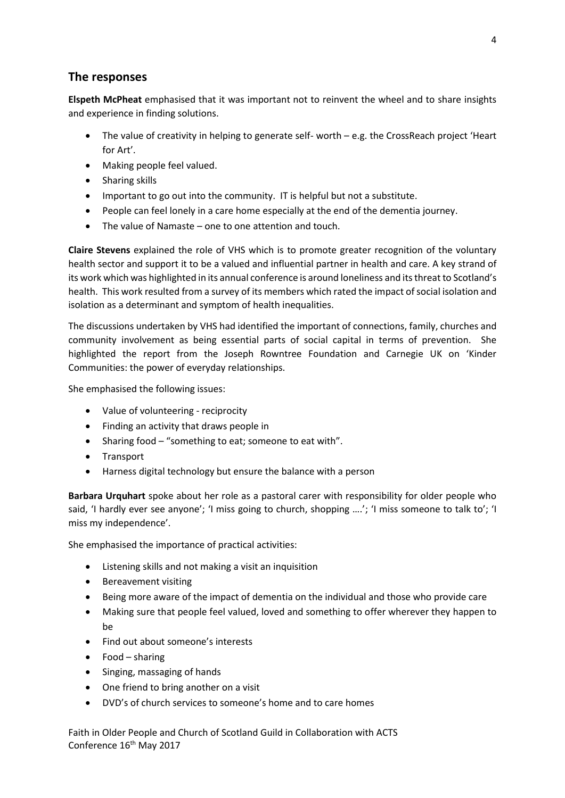### **The responses**

**Elspeth McPheat** emphasised that it was important not to reinvent the wheel and to share insights and experience in finding solutions.

- The value of creativity in helping to generate self- worth e.g. the CrossReach project 'Heart for Art'.
- Making people feel valued.
- Sharing skills
- Important to go out into the community. IT is helpful but not a substitute.
- People can feel lonely in a care home especially at the end of the dementia journey.
- The value of Namaste one to one attention and touch.

**Claire Stevens** explained the role of VHS which is to promote greater recognition of the voluntary health sector and support it to be a valued and influential partner in health and care. A key strand of its work which was highlighted in its annual conference is around loneliness and its threat to Scotland's health. This work resulted from a survey of its members which rated the impact of social isolation and isolation as a determinant and symptom of health inequalities.

The discussions undertaken by VHS had identified the important of connections, family, churches and community involvement as being essential parts of social capital in terms of prevention. She highlighted the report from the Joseph Rowntree Foundation and Carnegie UK on 'Kinder Communities: the power of everyday relationships.

She emphasised the following issues:

- Value of volunteering reciprocity
- Finding an activity that draws people in
- Sharing food "something to eat; someone to eat with".
- Transport
- Harness digital technology but ensure the balance with a person

**Barbara Urquhart** spoke about her role as a pastoral carer with responsibility for older people who said, 'I hardly ever see anyone'; 'I miss going to church, shopping ....'; 'I miss someone to talk to'; 'I miss my independence'.

She emphasised the importance of practical activities:

- Listening skills and not making a visit an inquisition
- Bereavement visiting
- Being more aware of the impact of dementia on the individual and those who provide care
- Making sure that people feel valued, loved and something to offer wherever they happen to be
- Find out about someone's interests
- Food sharing
- Singing, massaging of hands
- One friend to bring another on a visit
- DVD's of church services to someone's home and to care homes

Faith in Older People and Church of Scotland Guild in Collaboration with ACTS Conference 16<sup>th</sup> May 2017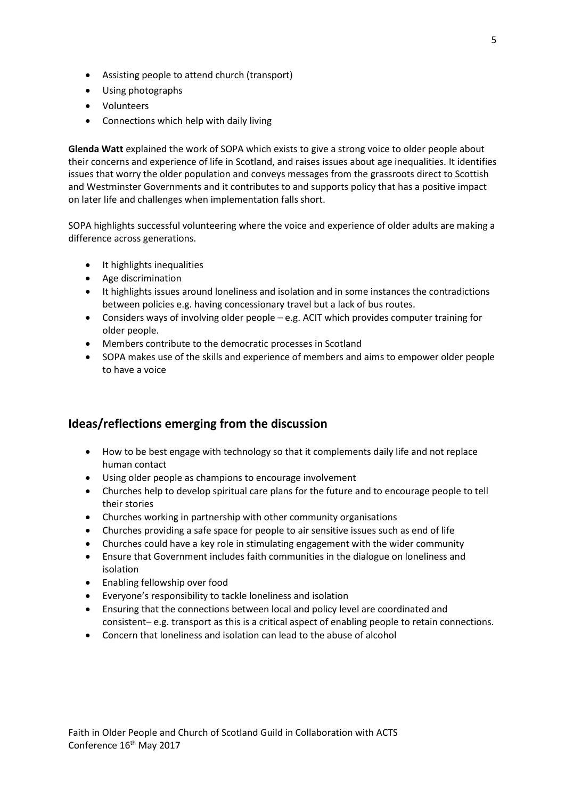- Assisting people to attend church (transport)
- Using photographs
- Volunteers
- Connections which help with daily living

**Glenda Watt** explained the work of SOPA which exists to give a strong voice to older people about their concerns and experience of life in Scotland, and raises issues about age inequalities. It identifies issues that worry the older population and conveys messages from the grassroots direct to Scottish and Westminster Governments and it contributes to and supports policy that has a positive impact on later life and challenges when implementation falls short.

SOPA highlights successful volunteering where the voice and experience of older adults are making a difference across generations.

- It highlights inequalities
- Age discrimination
- It highlights issues around loneliness and isolation and in some instances the contradictions between policies e.g. having concessionary travel but a lack of bus routes.
- Considers ways of involving older people e.g. ACIT which provides computer training for older people.
- Members contribute to the democratic processes in Scotland
- SOPA makes use of the skills and experience of members and aims to empower older people to have a voice

### **Ideas/reflections emerging from the discussion**

- How to be best engage with technology so that it complements daily life and not replace human contact
- Using older people as champions to encourage involvement
- Churches help to develop spiritual care plans for the future and to encourage people to tell their stories
- Churches working in partnership with other community organisations
- Churches providing a safe space for people to air sensitive issues such as end of life
- Churches could have a key role in stimulating engagement with the wider community
- Ensure that Government includes faith communities in the dialogue on loneliness and isolation
- Enabling fellowship over food
- Everyone's responsibility to tackle loneliness and isolation
- Ensuring that the connections between local and policy level are coordinated and consistent– e.g. transport as this is a critical aspect of enabling people to retain connections.
- Concern that loneliness and isolation can lead to the abuse of alcohol